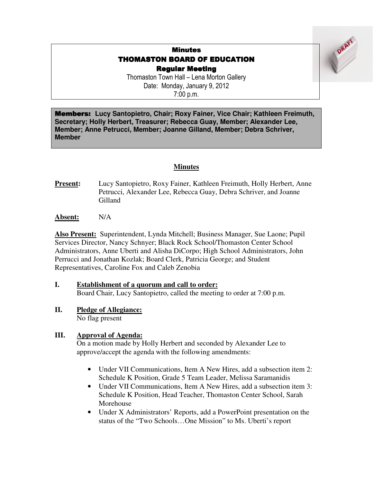# Minutes **THOMASTON BOARD OF EDUCATION** Regular Meeting

DRAF!

Thomaston Town Hall – Lena Morton Gallery Date: Monday, January 9, 2012 7:00 p.m.

Members: **Lucy Santopietro, Chair; Roxy Fainer, Vice Chair; Kathleen Freimuth, Secretary; Holly Herbert, Treasurer; Rebecca Guay, Member; Alexander Lee, Member; Anne Petrucci, Member; Joanne Gilland, Member; Debra Schriver, Member**

## **Minutes**

**Present:** Lucy Santopietro, Roxy Fainer, Kathleen Freimuth, Holly Herbert, Anne Petrucci, Alexander Lee, Rebecca Guay, Debra Schriver, and Joanne Gilland

**Absent:** N/A

**Also Present:** Superintendent, Lynda Mitchell; Business Manager, Sue Laone; Pupil Services Director, Nancy Schnyer; Black Rock School/Thomaston Center School Administrators, Anne Uberti and Alisha DiCorpo; High School Administrators, John Perrucci and Jonathan Kozlak; Board Clerk, Patricia George; and Student Representatives, Caroline Fox and Caleb Zenobia

## **I. Establishment of a quorum and call to order:**

Board Chair, Lucy Santopietro, called the meeting to order at 7:00 p.m.

**II. Pledge of Allegiance:**

No flag present

## **III. Approval of Agenda:**

On a motion made by Holly Herbert and seconded by Alexander Lee to approve/accept the agenda with the following amendments:

- Under VII Communications, Item A New Hires, add a subsection item 2: Schedule K Position, Grade 5 Team Leader, Melissa Saramanidis
- Under VII Communications, Item A New Hires, add a subsection item 3: Schedule K Position, Head Teacher, Thomaston Center School, Sarah Morehouse
- Under X Administrators' Reports, add a PowerPoint presentation on the status of the "Two Schools…One Mission" to Ms. Uberti's report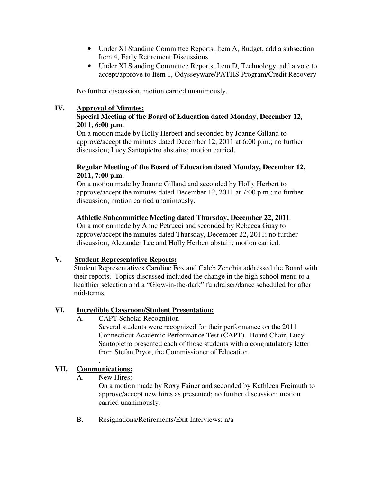- Under XI Standing Committee Reports, Item A, Budget, add a subsection Item 4, Early Retirement Discussions
- Under XI Standing Committee Reports, Item D, Technology, add a vote to accept/approve to Item 1, Odysseyware/PATHS Program/Credit Recovery

No further discussion, motion carried unanimously.

### **IV. Approval of Minutes:**

## **Special Meeting of the Board of Education dated Monday, December 12, 2011, 6:00 p.m.**

On a motion made by Holly Herbert and seconded by Joanne Gilland to approve/accept the minutes dated December 12, 2011 at 6:00 p.m.; no further discussion; Lucy Santopietro abstains; motion carried.

#### **Regular Meeting of the Board of Education dated Monday, December 12, 2011, 7:00 p.m.**

On a motion made by Joanne Gilland and seconded by Holly Herbert to approve/accept the minutes dated December 12, 2011 at 7:00 p.m.; no further discussion; motion carried unanimously.

#### **Athletic Subcommittee Meeting dated Thursday, December 22, 2011**

On a motion made by Anne Petrucci and seconded by Rebecca Guay to approve/accept the minutes dated Thursday, December 22, 2011; no further discussion; Alexander Lee and Holly Herbert abstain; motion carried.

## **V. Student Representative Reports:**

Student Representatives Caroline Fox and Caleb Zenobia addressed the Board with their reports. Topics discussed included the change in the high school menu to a healthier selection and a "Glow-in-the-dark" fundraiser/dance scheduled for after mid-terms.

#### **VI. Incredible Classroom/Student Presentation:**

A. CAPT Scholar Recognition

Several students were recognized for their performance on the 2011 Connecticut Academic Performance Test (CAPT). Board Chair, Lucy Santopietro presented each of those students with a congratulatory letter from Stefan Pryor, the Commissioner of Education.

## **VII. Communications:**

.

A. New Hires:

On a motion made by Roxy Fainer and seconded by Kathleen Freimuth to approve/accept new hires as presented; no further discussion; motion carried unanimously.

B. Resignations/Retirements/Exit Interviews: n/a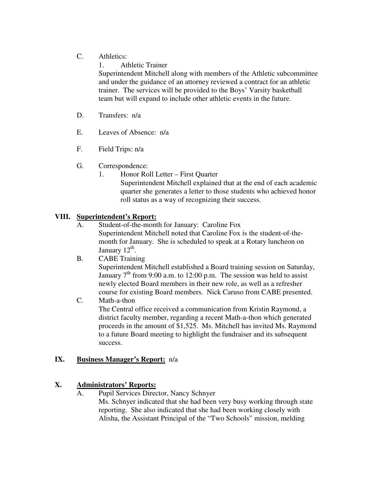# C. Athletics:

1. Athletic Trainer

Superintendent Mitchell along with members of the Athletic subcommittee and under the guidance of an attorney reviewed a contract for an athletic trainer. The services will be provided to the Boys' Varsity basketball team but will expand to include other athletic events in the future.

- D. Transfers: n/a
- E. Leaves of Absence: n/a
- F. Field Trips: n/a
- G. Correspondence:
	- 1. Honor Roll Letter First Quarter
		- Superintendent Mitchell explained that at the end of each academic quarter she generates a letter to those students who achieved honor roll status as a way of recognizing their success.

# **VIII. Superintendent's Report:**

- A. Student-of-the-month for January: Caroline Fox Superintendent Mitchell noted that Caroline Fox is the student-of-themonth for January. She is scheduled to speak at a Rotary luncheon on January  $12^{\text{th}}$ .
- B. CABE Training Superintendent Mitchell established a Board training session on Saturday, January  $7<sup>th</sup>$  from 9:00 a.m. to 12:00 p.m. The session was held to assist newly elected Board members in their new role, as well as a refresher course for existing Board members. Nick Caruso from CABE presented.
- C. Math-a-thon The Central office received a communication from Kristin Raymond, a district faculty member, regarding a recent Math-a-thon which generated proceeds in the amount of \$1,525. Ms. Mitchell has invited Ms. Raymond to a future Board meeting to highlight the fundraiser and its subsequent success.

## **IX. Business Manager's Report:** n/a

# **X. Administrators' Reports:**

A. Pupil Services Director, Nancy Schnyer Ms. Schnyer indicated that she had been very busy working through state reporting. She also indicated that she had been working closely with Alisha, the Assistant Principal of the "Two Schools" mission, melding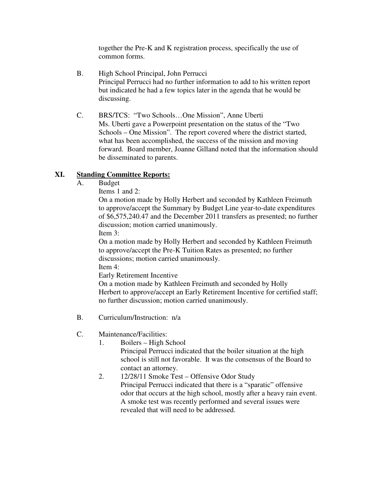together the Pre-K and K registration process, specifically the use of common forms.

- B. High School Principal, John Perrucci Principal Perrucci had no further information to add to his written report but indicated he had a few topics later in the agenda that he would be discussing.
- C. BRS/TCS: "Two Schools…One Mission", Anne Uberti Ms. Uberti gave a Powerpoint presentation on the status of the "Two Schools – One Mission". The report covered where the district started, what has been accomplished, the success of the mission and moving forward. Board member, Joanne Gilland noted that the information should be disseminated to parents.

## **XI. Standing Committee Reports:**

A. Budget

Items 1 and 2:

On a motion made by Holly Herbert and seconded by Kathleen Freimuth to approve/accept the Summary by Budget Line year-to-date expenditures of \$6,575,240.47 and the December 2011 transfers as presented; no further discussion; motion carried unanimously.

Item 3:

On a motion made by Holly Herbert and seconded by Kathleen Freimuth to approve/accept the Pre-K Tuition Rates as presented; no further discussions; motion carried unanimously.

Item 4:

Early Retirement Incentive

 On a motion made by Kathleen Freimuth and seconded by Holly Herbert to approve/accept an Early Retirement Incentive for certified staff; no further discussion; motion carried unanimously.

- B. Curriculum/Instruction: n/a
- C. Maintenance/Facilities:
	- 1. Boilers High School
		- Principal Perrucci indicated that the boiler situation at the high school is still not favorable. It was the consensus of the Board to contact an attorney.
	- 2. 12/28/11 Smoke Test Offensive Odor Study Principal Perrucci indicated that there is a "sparatic" offensive odor that occurs at the high school, mostly after a heavy rain event. A smoke test was recently performed and several issues were revealed that will need to be addressed.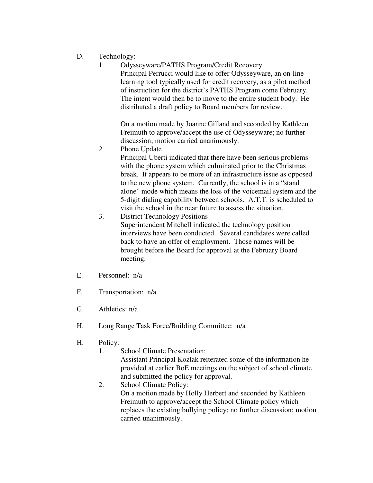- D. Technology:
	- 1. Odysseyware/PATHS Program/Credit Recovery Principal Perrucci would like to offer Odysseyware, an on-line learning tool typically used for credit recovery, as a pilot method of instruction for the district's PATHS Program come February. The intent would then be to move to the entire student body. He distributed a draft policy to Board members for review.

On a motion made by Joanne Gilland and seconded by Kathleen Freimuth to approve/accept the use of Odysseyware; no further discussion; motion carried unanimously.

2. Phone Update

Principal Uberti indicated that there have been serious problems with the phone system which culminated prior to the Christmas break. It appears to be more of an infrastructure issue as opposed to the new phone system. Currently, the school is in a "stand alone" mode which means the loss of the voicemail system and the 5-digit dialing capability between schools. A.T.T. is scheduled to visit the school in the near future to assess the situation.

- 3. District Technology Positions Superintendent Mitchell indicated the technology position interviews have been conducted. Several candidates were called back to have an offer of employment. Those names will be brought before the Board for approval at the February Board meeting.
- E. Personnel: n/a
- F. Transportation: n/a
- G. Athletics: n/a
- H. Long Range Task Force/Building Committee: n/a
- H. Policy:
	- 1. School Climate Presentation: Assistant Principal Kozlak reiterated some of the information he provided at earlier BoE meetings on the subject of school climate and submitted the policy for approval.
	- 2. School Climate Policy: On a motion made by Holly Herbert and seconded by Kathleen Freimuth to approve/accept the School Climate policy which replaces the existing bullying policy; no further discussion; motion carried unanimously.